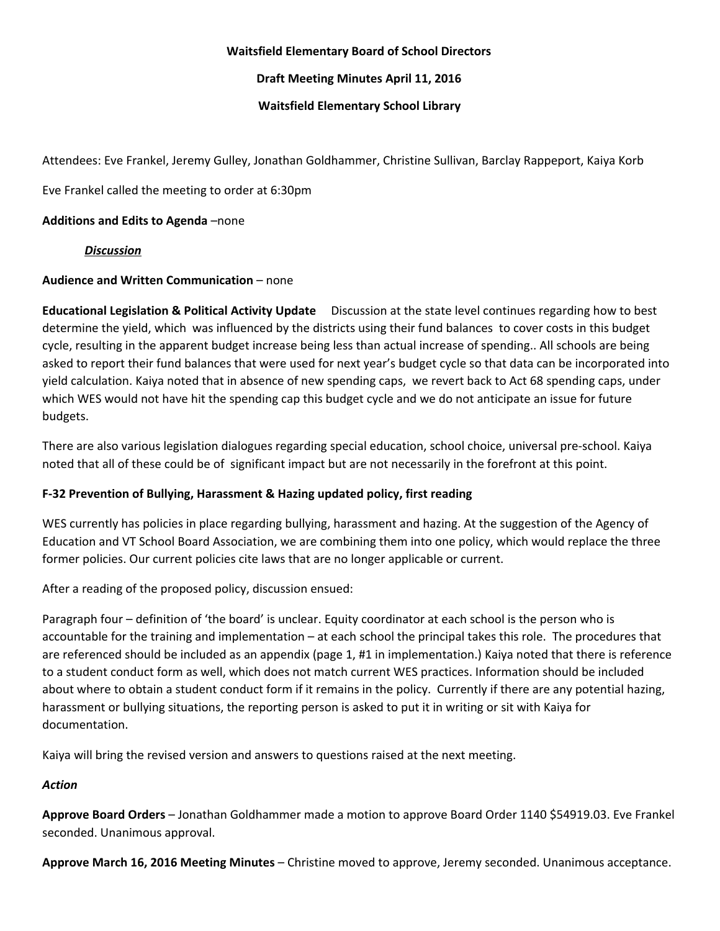### **Waitsfield Elementary Board of School Directors**

**Draft Meeting Minutes April 11, 2016**

### **Waitsfield Elementary School Library**

Attendees: Eve Frankel, Jeremy Gulley, Jonathan Goldhammer, Christine Sullivan, Barclay Rappeport, Kaiya Korb

Eve Frankel called the meeting to order at 6:30pm

# **Additions and Edits to Agenda**–none

*Discussion*

# **Audience and Written Communication**– none

**Educational Legislation & Political Activity Update** Discussion at the state level continues regarding how to best determine the yield, which was influenced by the districts using their fund balances to cover costs in this budget cycle, resulting in the apparent budget increase being less than actual increase of spending.. All schools are being asked to report their fund balances that were used for next year's budget cycle so that data can be incorporated into yield calculation. Kaiya noted that in absence of new spending caps, we revert back to Act 68 spending caps, under which WES would not have hit the spending cap this budget cycle and we do not anticipate an issue for future budgets.

There are also various legislation dialogues regarding special education, school choice, universal pre-school. Kaiya noted that all of these could be of significant impact but are not necessarily in the forefront at this point.

# **F32 Prevention of Bullying, Harassment & Hazing updated policy, first reading**

WES currently has policies in place regarding bullying, harassment and hazing. At the suggestion of the Agency of Education and VT School Board Association, we are combining them into one policy, which would replace the three former policies. Our current policies cite laws that are no longer applicable or current.

After a reading of the proposed policy, discussion ensued:

Paragraph four – definition of 'the board' is unclear. Equity coordinator at each school is the person who is accountable for the training and implementation – at each school the principal takes this role. The procedures that are referenced should be included as an appendix (page 1, #1 in implementation.) Kaiya noted that there is reference to a student conduct form as well, which does not match current WES practices. Information should be included about where to obtain a student conduct form if it remains in the policy. Currently if there are any potential hazing, harassment or bullying situations, the reporting person is asked to put it in writing or sit with Kaiya for documentation.

Kaiya will bring the revised version and answers to questions raised at the next meeting.

# *Action*

**Approve Board Orders**– Jonathan Goldhammer made a motion to approve Board Order 1140 \$54919.03. Eve Frankel seconded. Unanimous approval.

**Approve March 16, 2016 Meeting Minutes**– Christine moved to approve, Jeremy seconded. Unanimous acceptance.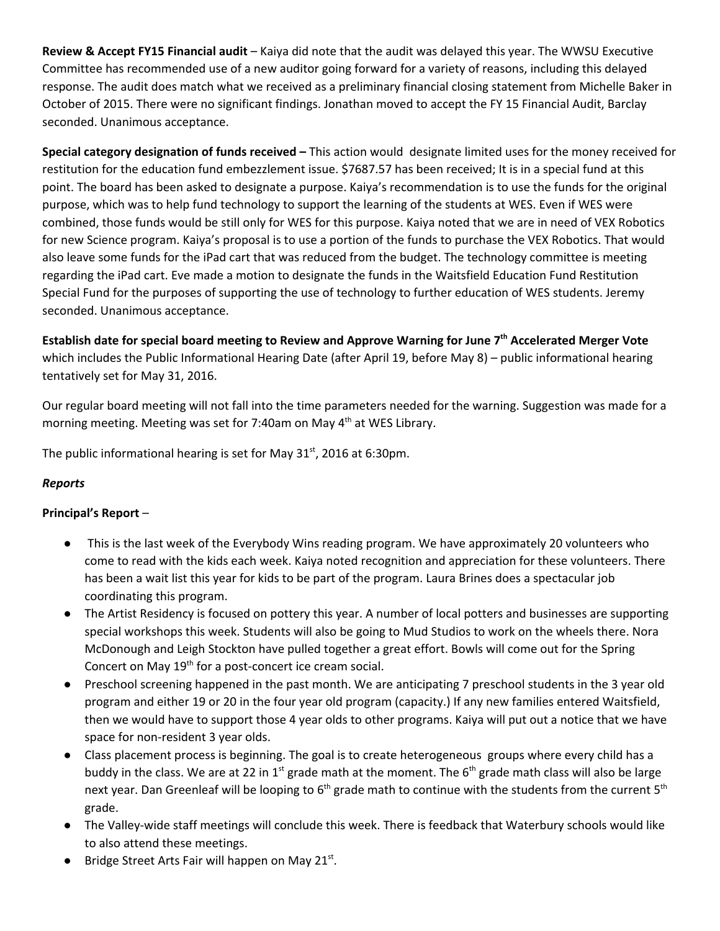**Review & Accept FY15 Financial audit**– Kaiya did note that the audit was delayed this year. The WWSU Executive Committee has recommended use of a new auditor going forward for a variety of reasons, including this delayed response. The audit does match what we received as a preliminary financial closing statement from Michelle Baker in October of 2015. There were no significant findings. Jonathan moved to accept the FY 15 Financial Audit, Barclay seconded. Unanimous acceptance.

**Special category designation of funds received –**This action would designate limited uses for the money received for restitution for the education fund embezzlement issue. \$7687.57 has been received; It is in a special fund at this point. The board has been asked to designate a purpose. Kaiya's recommendation is to use the funds for the original purpose, which was to help fund technology to support the learning of the students at WES. Even if WES were combined, those funds would be still only for WES for this purpose. Kaiya noted that we are in need of VEX Robotics for new Science program. Kaiya's proposal is to use a portion of the funds to purchase the VEX Robotics. That would also leave some funds for the iPad cart that was reduced from the budget. The technology committee is meeting regarding the iPad cart. Eve made a motion to designate the funds in the Waitsfield Education Fund Restitution Special Fund for the purposes of supporting the use of technology to further education of WES students. Jeremy seconded. Unanimous acceptance.

Establish date for special board meeting to Review and Approve Warning for June 7<sup>th</sup> Accelerated Merger Vote which includes the Public Informational Hearing Date (after April 19, before May 8) – public informational hearing tentatively set for May 31, 2016.

Our regular board meeting will not fall into the time parameters needed for the warning. Suggestion was made for a morning meeting. Meeting was set for 7:40am on May 4<sup>th</sup> at WES Library.

The public informational hearing is set for May  $31<sup>st</sup>$ , 2016 at 6:30pm.

# *Reports*

# **Principal's Report**–

- This is the last week of the Everybody Wins reading program. We have approximately 20 volunteers who come to read with the kids each week. Kaiya noted recognition and appreciation for these volunteers. There has been a wait list this year for kids to be part of the program. Laura Brines does a spectacular job coordinating this program.
- The Artist Residency is focused on pottery this year. A number of local potters and businesses are supporting special workshops this week. Students will also be going to Mud Studios to work on the wheels there. Nora McDonough and Leigh Stockton have pulled together a great effort. Bowls will come out for the Spring Concert on May 19<sup>th</sup> for a post-concert ice cream social.
- Preschool screening happened in the past month. We are anticipating 7 preschool students in the 3 year old program and either 19 or 20 in the four year old program (capacity.) If any new families entered Waitsfield, then we would have to support those 4 year olds to other programs. Kaiya will put out a notice that we have space for non-resident 3 year olds.
- Class placement process is beginning. The goal is to create heterogeneous groups where every child has a buddy in the class. We are at 22 in 1<sup>st</sup> grade math at the moment. The 6<sup>th</sup> grade math class will also be large next year. Dan Greenleaf will be looping to 6<sup>th</sup> grade math to continue with the students from the current 5<sup>th</sup> grade.
- The Valley-wide staff meetings will conclude this week. There is feedback that Waterbury schools would like to also attend these meetings.
- $\bullet$  Bridge Street Arts Fair will happen on May 21st.